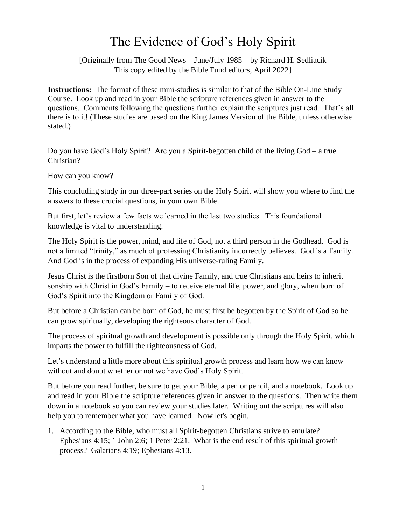## The Evidence of God's Holy Spirit

[Originally from The Good News – June/July 1985 – by Richard H. Sedliacik This copy edited by the Bible Fund editors, April 2022]

**Instructions:** The format of these mini-studies is similar to that of the Bible On-Line Study Course. Look up and read in your Bible the scripture references given in answer to the questions. Comments following the questions further explain the scriptures just read. That's all there is to it! (These studies are based on the King James Version of the Bible, unless otherwise stated.)

Do you have God's Holy Spirit? Are you a Spirit-begotten child of the living God – a true Christian?

\_\_\_\_\_\_\_\_\_\_\_\_\_\_\_\_\_\_\_\_\_\_\_\_\_\_\_\_\_\_\_\_\_\_\_\_\_\_\_\_\_\_\_\_\_\_\_\_\_\_\_\_

How can you know?

This concluding study in our three-part series on the Holy Spirit will show you where to find the answers to these crucial questions, in your own Bible.

But first, let's review a few facts we learned in the last two studies. This foundational knowledge is vital to understanding.

The Holy Spirit is the power, mind, and life of God, not a third person in the Godhead. God is not a limited "trinity," as much of professing Christianity incorrectly believes. God is a Family. And God is in the process of expanding His universe-ruling Family.

Jesus Christ is the firstborn Son of that divine Family, and true Christians and heirs to inherit sonship with Christ in God's Family – to receive eternal life, power, and glory, when born of God's Spirit into the Kingdom or Family of God.

But before a Christian can be born of God, he must first be begotten by the Spirit of God so he can grow spiritually, developing the righteous character of God.

The process of spiritual growth and development is possible only through the Holy Spirit, which imparts the power to fulfill the righteousness of God.

Let's understand a little more about this spiritual growth process and learn how we can know without and doubt whether or not we have God's Holy Spirit.

But before you read further, be sure to get your Bible, a pen or pencil, and a notebook. Look up and read in your Bible the scripture references given in answer to the questions. Then write them down in a notebook so you can review your studies later. Writing out the scriptures will also help you to remember what you have learned. Now let's begin.

1. According to the Bible, who must all Spirit-begotten Christians strive to emulate? Ephesians 4:15; 1 John 2:6; 1 Peter 2:21. What is the end result of this spiritual growth process? Galatians 4:19; Ephesians 4:13.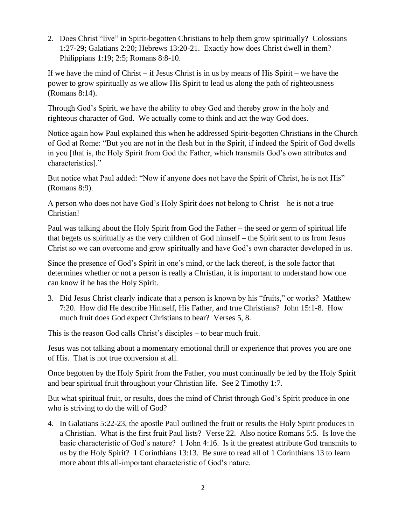2. Does Christ "live" in Spirit-begotten Christians to help them grow spiritually? Colossians 1:27-29; Galatians 2:20; Hebrews 13:20-21. Exactly how does Christ dwell in them? Philippians 1:19; 2:5; Romans 8:8-10.

If we have the mind of Christ – if Jesus Christ is in us by means of His Spirit – we have the power to grow spiritually as we allow His Spirit to lead us along the path of righteousness (Romans 8:14).

Through God's Spirit, we have the ability to obey God and thereby grow in the holy and righteous character of God. We actually come to think and act the way God does.

Notice again how Paul explained this when he addressed Spirit-begotten Christians in the Church of God at Rome: "But you are not in the flesh but in the Spirit, if indeed the Spirit of God dwells in you [that is, the Holy Spirit from God the Father, which transmits God's own attributes and characteristics]."

But notice what Paul added: "Now if anyone does not have the Spirit of Christ, he is not His" (Romans 8:9).

A person who does not have God's Holy Spirit does not belong to Christ – he is not a true Christian!

Paul was talking about the Holy Spirit from God the Father – the seed or germ of spiritual life that begets us spiritually as the very children of God himself – the Spirit sent to us from Jesus Christ so we can overcome and grow spiritually and have God's own character developed in us.

Since the presence of God's Spirit in one's mind, or the lack thereof, is the sole factor that determines whether or not a person is really a Christian, it is important to understand how one can know if he has the Holy Spirit.

3. Did Jesus Christ clearly indicate that a person is known by his "fruits," or works? Matthew 7:20. How did He describe Himself, His Father, and true Christians? John 15:1-8. How much fruit does God expect Christians to bear? Verses 5, 8.

This is the reason God calls Christ's disciples – to bear much fruit.

Jesus was not talking about a momentary emotional thrill or experience that proves you are one of His. That is not true conversion at all.

Once begotten by the Holy Spirit from the Father, you must continually be led by the Holy Spirit and bear spiritual fruit throughout your Christian life. See 2 Timothy 1:7.

But what spiritual fruit, or results, does the mind of Christ through God's Spirit produce in one who is striving to do the will of God?

4. In Galatians 5:22-23, the apostle Paul outlined the fruit or results the Holy Spirit produces in a Christian. What is the first fruit Paul lists? Verse 22. Also notice Romans 5:5. Is love the basic characteristic of God's nature? 1 John 4:16. Is it the greatest attribute God transmits to us by the Holy Spirit? 1 Corinthians 13:13. Be sure to read all of 1 Corinthians 13 to learn more about this all-important characteristic of God's nature.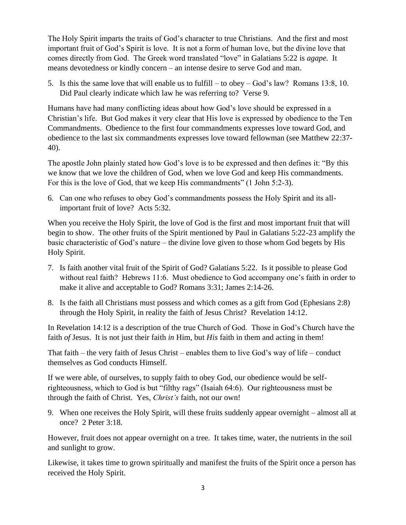The Holy Spirit imparts the traits of God's character to true Christians. And the first and most important fruit of God's Spirit is love. It is not a form of human love, but the divine love that comes directly from God. The Greek word translated "love" in Galatians 5:22 is *agape*. It means devotedness or kindly concern – an intense desire to serve God and man.

5. Is this the same love that will enable us to fulfill – to obey – God's law? Romans 13:8, 10. Did Paul clearly indicate which law he was referring to? Verse 9.

Humans have had many conflicting ideas about how God's love should be expressed in a Christian's life. But God makes it very clear that His love is expressed by obedience to the Ten Commandments. Obedience to the first four commandments expresses love toward God, and obedience to the last six commandments expresses love toward fellowman (see Matthew 22:37- 40).

The apostle John plainly stated how God's love is to be expressed and then defines it: "By this we know that we love the children of God, when we love God and keep His commandments. For this is the love of God, that we keep His commandments" (1 John 5:2-3).

6. Can one who refuses to obey God's commandments possess the Holy Spirit and its allimportant fruit of love? Acts 5:32.

When you receive the Holy Spirit, the love of God is the first and most important fruit that will begin to show. The other fruits of the Spirit mentioned by Paul in Galatians 5:22-23 amplify the basic characteristic of God's nature – the divine love given to those whom God begets by His Holy Spirit.

- 7. Is faith another vital fruit of the Spirit of God? Galatians 5:22. Is it possible to please God without real faith? Hebrews 11:6. Must obedience to God accompany one's faith in order to make it alive and acceptable to God? Romans 3:31; James 2:14-26.
- 8. Is the faith all Christians must possess and which comes as a gift from God (Ephesians 2:8) through the Holy Spirit, in reality the faith of Jesus Christ? Revelation 14:12.

In Revelation 14:12 is a description of the true Church of God. Those in God's Church have the faith *of* Jesus. It is not just their faith *in* Him, but *His* faith in them and acting in them!

That faith – the very faith of Jesus Christ – enables them to live God's way of life – conduct themselves as God conducts Himself.

If we were able, of ourselves, to supply faith to obey God, our obedience would be selfrighteousness, which to God is but "filthy rags" (Isaiah 64:6). Our righteousness must be through the faith of Christ. Yes, *Christ's* faith, not our own!

9. When one receives the Holy Spirit, will these fruits suddenly appear overnight – almost all at once? 2 Peter 3:18.

However, fruit does not appear overnight on a tree. It takes time, water, the nutrients in the soil and sunlight to grow.

Likewise, it takes time to grown spiritually and manifest the fruits of the Spirit once a person has received the Holy Spirit.